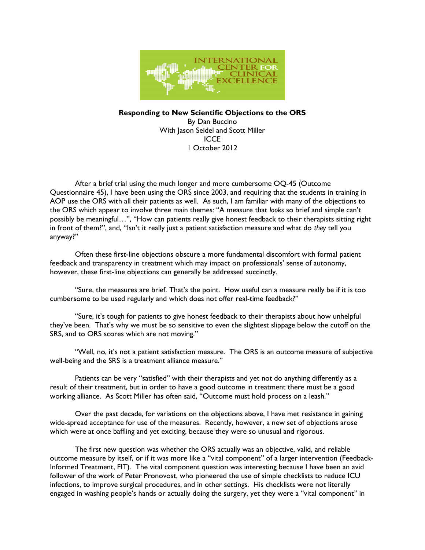

Responding to New Scientific Objections to the ORS By Dan Buccino With Jason Seidel and Scott Miller ICCE 1 October 2012

 After a brief trial using the much longer and more cumbersome OQ-45 (Outcome Questionnaire 45), I have been using the ORS since 2003, and requiring that the students in training in AOP use the ORS with all their patients as well. As such, I am familiar with many of the objections to the ORS which appear to involve three main themes: "A measure that looks so brief and simple can't possibly be meaningful…", "How can patients really give honest feedback to their therapists sitting right in front of them?", and, "Isn't it really just a patient satisfaction measure and what do they tell you anyway?"

 Often these first-line objections obscure a more fundamental discomfort with formal patient feedback and transparency in treatment which may impact on professionals' sense of autonomy, however, these first-line objections can generally be addressed succinctly.

 "Sure, the measures are brief. That's the point. How useful can a measure really be if it is too cumbersome to be used regularly and which does not offer real-time feedback?"

 "Sure, it's tough for patients to give honest feedback to their therapists about how unhelpful they've been. That's why we must be so sensitive to even the slightest slippage below the cutoff on the SRS, and to ORS scores which are not moving."

 "Well, no, it's not a patient satisfaction measure. The ORS is an outcome measure of subjective well-being and the SRS is a treatment alliance measure."

 Patients can be very "satisfied" with their therapists and yet not do anything differently as a result of their treatment, but in order to have a good outcome in treatment there must be a good working alliance. As Scott Miller has often said, "Outcome must hold process on a leash."

 Over the past decade, for variations on the objections above, I have met resistance in gaining wide-spread acceptance for use of the measures. Recently, however, a new set of objections arose which were at once baffling and yet exciting, because they were so unusual and rigorous.

 The first new question was whether the ORS actually was an objective, valid, and reliable outcome measure by itself, or if it was more like a "vital component" of a larger intervention (Feedback-Informed Treatment, FIT). The vital component question was interesting because I have been an avid follower of the work of Peter Pronovost, who pioneered the use of simple checklists to reduce ICU infections, to improve surgical procedures, and in other settings. His checklists were not literally engaged in washing people's hands or actually doing the surgery, yet they were a "vital component" in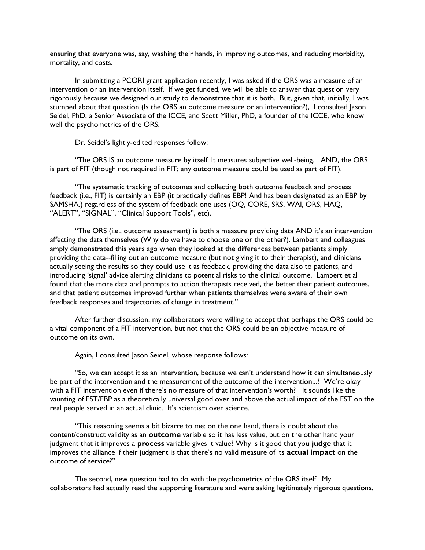ensuring that everyone was, say, washing their hands, in improving outcomes, and reducing morbidity, mortality, and costs.

 In submitting a PCORI grant application recently, I was asked if the ORS was a measure of an intervention or an intervention itself. If we get funded, we will be able to answer that question very rigorously because we designed our study to demonstrate that it is both. But, given that, initially, I was stumped about that question (Is the ORS an outcome measure or an intervention?), I consulted Jason Seidel, PhD, a Senior Associate of the ICCE, and Scott Miller, PhD, a founder of the ICCE, who know well the psychometrics of the ORS.

Dr. Seidel's lightly-edited responses follow:

 "The ORS IS an outcome measure by itself. It measures subjective well-being. AND, the ORS is part of FIT (though not required in FIT; any outcome measure could be used as part of FIT).

 "The systematic tracking of outcomes and collecting both outcome feedback and process feedback (i.e., FIT) is certainly an EBP (it practically defines EBP! And has been designated as an EBP by SAMSHA.) regardless of the system of feedback one uses (OQ, CORE, SRS, WAI, ORS, HAQ, "ALERT", "SIGNAL", "Clinical Support Tools", etc).

 "The ORS (i.e., outcome assessment) is both a measure providing data AND it's an intervention affecting the data themselves (Why do we have to choose one or the other?). Lambert and colleagues amply demonstrated this years ago when they looked at the differences between patients simply providing the data--filling out an outcome measure (but not giving it to their therapist), and clinicians actually seeing the results so they could use it as feedback, providing the data also to patients, and introducing 'signal' advice alerting clinicians to potential risks to the clinical outcome. Lambert et al found that the more data and prompts to action therapists received, the better their patient outcomes, and that patient outcomes improved further when patients themselves were aware of their own feedback responses and trajectories of change in treatment."

 After further discussion, my collaborators were willing to accept that perhaps the ORS could be a vital component of a FIT intervention, but not that the ORS could be an objective measure of outcome on its own.

Again, I consulted Jason Seidel, whose response follows:

 "So, we can accept it as an intervention, because we can't understand how it can simultaneously be part of the intervention and the measurement of the outcome of the intervention...? We're okay with a FIT intervention even if there's no measure of that intervention's worth? It sounds like the vaunting of EST/EBP as a theoretically universal good over and above the actual impact of the EST on the real people served in an actual clinic. It's scientism over science.

 "This reasoning seems a bit bizarre to me: on the one hand, there is doubt about the content/construct validity as an outcome variable so it has less value, but on the other hand your judgment that it improves a process variable gives it value? Why is it good that you judge that it improves the alliance if their judgment is that there's no valid measure of its actual impact on the outcome of service?"

 The second, new question had to do with the psychometrics of the ORS itself. My collaborators had actually read the supporting literature and were asking legitimately rigorous questions.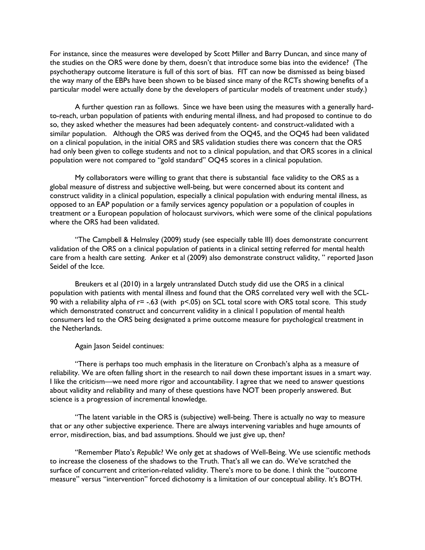For instance, since the measures were developed by Scott Miller and Barry Duncan, and since many of the studies on the ORS were done by them, doesn't that introduce some bias into the evidence? (The psychotherapy outcome literature is full of this sort of bias. FIT can now be dismissed as being biased the way many of the EBPs have been shown to be biased since many of the RCTs showing benefits of a particular model were actually done by the developers of particular models of treatment under study.)

 A further question ran as follows. Since we have been using the measures with a generally hardto-reach, urban population of patients with enduring mental illness, and had proposed to continue to do so, they asked whether the measures had been adequately content- and construct-validated with a similar population. Although the ORS was derived from the OQ45, and the OQ45 had been validated on a clinical population, in the initial ORS and SRS validation studies there was concern that the ORS had only been given to college students and not to a clinical population, and that ORS scores in a clinical population were not compared to "gold standard" OQ45 scores in a clinical population.

 My collaborators were willing to grant that there is substantial face validity to the ORS as a global measure of distress and subjective well-being, but were concerned about its content and construct validity in a clinical population, especially a clinical population with enduring mental illness, as opposed to an EAP population or a family services agency population or a population of couples in treatment or a European population of holocaust survivors, which were some of the clinical populations where the ORS had been validated.

 "The Campbell & Helmsley (2009) study (see especially table III) does demonstrate concurrent validation of the ORS on a clinical population of patients in a clinical setting referred for mental health care from a health care setting. Anker et al (2009) also demonstrate construct validity, " reported Jason Seidel of the Icce.

 Breukers et al (2010) in a largely untranslated Dutch study did use the ORS in a clinical population with patients with mental illness and found that the ORS correlated very well with the SCL-90 with a reliability alpha of  $r = -0.63$  (with  $p < 0.05$ ) on SCL total score with ORS total score. This study which demonstrated construct and concurrent validity in a clinical l population of mental health consumers led to the ORS being designated a prime outcome measure for psychological treatment in the Netherlands.

Again Jason Seidel continues:

 "There is perhaps too much emphasis in the literature on Cronbach's alpha as a measure of reliability. We are often falling short in the research to nail down these important issues in a smart way. I like the criticism—we need more rigor and accountability. I agree that we need to answer questions about validity and reliability and many of these questions have NOT been properly answered. But science is a progression of incremental knowledge.

 "The latent variable in the ORS is (subjective) well-being. There is actually no way to measure that or any other subjective experience. There are always intervening variables and huge amounts of error, misdirection, bias, and bad assumptions. Should we just give up, then?

 "Remember Plato's Republic? We only get at shadows of Well-Being. We use scientific methods to increase the closeness of the shadows to the Truth. That's all we can do. We've scratched the surface of concurrent and criterion-related validity. There's more to be done. I think the "outcome measure" versus "intervention" forced dichotomy is a limitation of our conceptual ability. It's BOTH.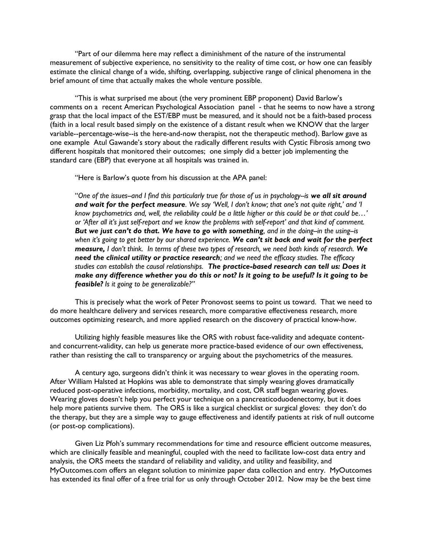"Part of our dilemma here may reflect a diminishment of the nature of the instrumental measurement of subjective experience, no sensitivity to the reality of time cost, or how one can feasibly estimate the clinical change of a wide, shifting, overlapping, subjective range of clinical phenomena in the brief amount of time that actually makes the whole venture possible.

 "This is what surprised me about (the very prominent EBP proponent) David Barlow's comments on a recent American Psychological Association panel - that he seems to now have a strong grasp that the local impact of the EST/EBP must be measured, and it should not be a faith-based process (faith in a local result based simply on the existence of a distant result when we KNOW that the larger variable--percentage-wise--is the here-and-now therapist, not the therapeutic method). Barlow gave as one example Atul Gawande's story about the radically different results with Cystic Fibrosis among two different hospitals that monitored their outcomes; one simply did a better job implementing the standard care (EBP) that everyone at all hospitals was trained in.

"Here is Barlow's quote from his discussion at the APA panel:

"One of the issues--and I find this particularly true for those of us in psychology--is we all sit around and wait for the perfect measure. We say 'Well, I don't know; that one's not quite right,' and 'I know psychometrics and, well, the reliability could be a little higher or this could be or that could be...' or 'After all it's just self-report and we know the problems with self-report' and that kind of comment. But we just can't do that. We have to go with something, and in the doing-in the using-is when it's going to get better by our shared experience. We can't sit back and wait for the perfect measure, I don't think. In terms of these two types of research, we need both kinds of research. We need the clinical utility or practice research; and we need the efficacy studies. The efficacy studies can establish the causal relationships. The practice-based research can tell us: Does it make any difference whether you do this or not? Is it going to be useful? Is it going to be feasible? Is it going to be generalizable?"

 This is precisely what the work of Peter Pronovost seems to point us toward. That we need to do more healthcare delivery and services research, more comparative effectiveness research, more outcomes optimizing research, and more applied research on the discovery of practical know-how.

 Utilizing highly feasible measures like the ORS with robust face-validity and adequate contentand concurrent-validity, can help us generate more practice-based evidence of our own effectiveness, rather than resisting the call to transparency or arguing about the psychometrics of the measures.

 A century ago, surgeons didn't think it was necessary to wear gloves in the operating room. After William Halsted at Hopkins was able to demonstrate that simply wearing gloves dramatically reduced post-operative infections, morbidity, mortality, and cost, OR staff began wearing gloves. Wearing gloves doesn't help you perfect your technique on a pancreaticoduodenectomy, but it does help more patients survive them. The ORS is like a surgical checklist or surgical gloves: they don't do the therapy, but they are a simple way to gauge effectiveness and identify patients at risk of null outcome (or post-op complications).

 Given Liz Pfoh's summary recommendations for time and resource efficient outcome measures, which are clinically feasible and meaningful, coupled with the need to facilitate low-cost data entry and analysis, the ORS meets the standard of reliability and validity, and utility and feasibility, and MyOutcomes.com offers an elegant solution to minimize paper data collection and entry. MyOutcomes has extended its final offer of a free trial for us only through October 2012. Now may be the best time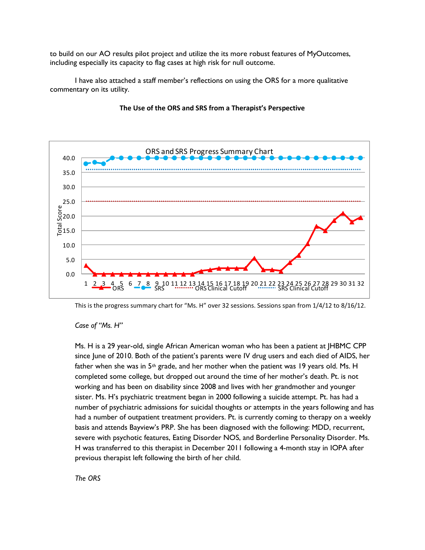to build on our AO results pilot project and utilize the its more robust features of MyOutcomes, including especially its capacity to flag cases at high risk for null outcome.

 I have also attached a staff member's reflections on using the ORS for a more qualitative commentary on its utility.



## The Use of the ORS and SRS from a Therapist's Perspective

This is the progress summary chart for "Ms. H" over 32 sessions. Sessions span from 1/4/12 to 8/16/12.

## Case of "Ms. H"

Ms. H is a 29 year-old, single African American woman who has been a patient at JHBMC CPP since June of 2010. Both of the patient's parents were IV drug users and each died of AIDS, her father when she was in  $5<sup>th</sup>$  grade, and her mother when the patient was 19 years old. Ms. H completed some college, but dropped out around the time of her mother's death. Pt. is not working and has been on disability since 2008 and lives with her grandmother and younger sister. Ms. H's psychiatric treatment began in 2000 following a suicide attempt. Pt. has had a number of psychiatric admissions for suicidal thoughts or attempts in the years following and has had a number of outpatient treatment providers. Pt. is currently coming to therapy on a weekly basis and attends Bayview's PRP. She has been diagnosed with the following: MDD, recurrent, severe with psychotic features, Eating Disorder NOS, and Borderline Personality Disorder. Ms. H was transferred to this therapist in December 2011 following a 4-month stay in IOPA after previous therapist left following the birth of her child.

The ORS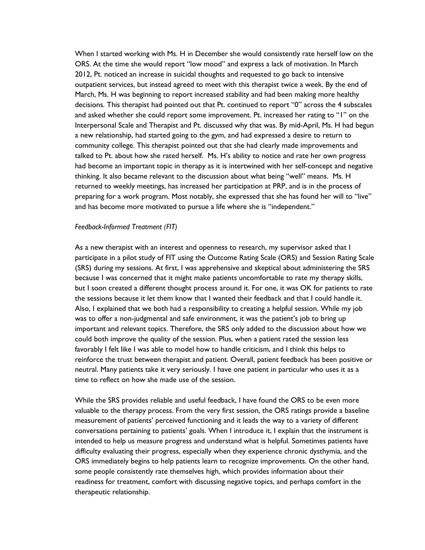When I started working with Ms. H in December she would consistently rate herself low on the ORS. At the time she would report "low mood" and express a lack of motivation. In March 2012, Pt. noticed an increase in suicidal thoughts and requested to go back to intensive outpatient services, but instead agreed to meet with this therapist twice a week. By the end of March, Ms. H was beginning to report increased stability and had been making more healthy decisions. This therapist had pointed out that Pt. continued to report "0" across the 4 subscales and asked whether she could report some improvement. Pt. increased her rating to "1" on the Interpersonal Scale and Therapist and Pt. discussed why that was. By mid-April, Ms. H had begun a new relationship, had started going to the gym, and had expressed a desire to return to community college. This therapist pointed out that she had clearly made improvements and talked to Pt. about how she rated herself. Ms. H's ability to notice and rate her own progress had become an important topic in therapy as it is intertwined with her self-concept and negative thinking. It also became relevant to the discussion about what being "well" means. Ms. H returned to weekly meetings, has increased her participation at PRP, and is in the process of preparing for a work program. Most notably, she expressed that she has found her will to "live" and has become more motivated to pursue a life where she is "independent."

## Feedback-Informed Treatment (FIT)

As a new therapist with an interest and openness to research, my supervisor asked that I participate in a pilot study of FIT using the Outcome Rating Scale (ORS) and Session Rating Scale (SRS) during my sessions. At first, I was apprehensive and skeptical about administering the SRS because I was concerned that it might make patients uncomfortable to rate my therapy skills, but I soon created a different thought process around it. For one, it was OK for patients to rate the sessions because it let them know that I wanted their feedback and that I could handle it. Also, I explained that we both had a responsibility to creating a helpful session. While my job was to offer a non-judgmental and safe environment, it was the patient's job to bring up important and relevant topics. Therefore, the SRS only added to the discussion about how we could both improve the quality of the session. Plus, when a patient rated the session less favorably I felt like I was able to model how to handle criticism, and I think this helps to reinforce the trust between therapist and patient. Overall, patient feedback has been positive or neutral. Many patients take it very seriously. I have one patient in particular who uses it as a time to reflect on how she made use of the session.

While the SRS provides reliable and useful feedback, I have found the ORS to be even more valuable to the therapy process. From the very first session, the ORS ratings provide a baseline measurement of patients' perceived functioning and it leads the way to a variety of different conversations pertaining to patients' goals. When I introduce it, I explain that the instrument is intended to help us measure progress and understand what is helpful. Sometimes patients have difficulty evaluating their progress, especially when they experience chronic dysthymia, and the ORS immediately begins to help patients learn to recognize improvements. On the other hand, some people consistently rate themselves high, which provides information about their readiness for treatment, comfort with discussing negative topics, and perhaps comfort in the therapeutic relationship.